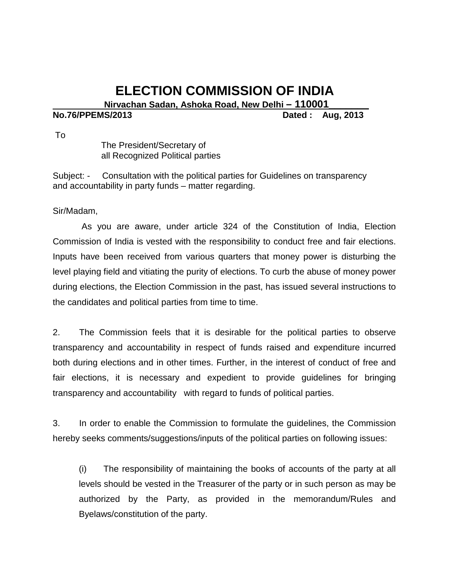## **ELECTION COMMISSION OF INDIA**<br>Nirvachan Sadan, Ashoka Road, New Delhi – 110001<br>Dated : Aug

**Dated : Aug, 2013** 

To

 The President/Secretary of all Recognized Political parties

Subject: - Consultation with the political parties for Guidelines on transparency and accountability in party funds – matter regarding.

Sir/Madam,

As you are aware, under article 324 of the Constitution of India, Election Commission of India is vested with the responsibility to conduct free and fair elections. Inputs have been received from various quarters that money power is disturbing the level playing field and vitiating the purity of elections. To curb the abuse of money power during elections, the Election Commission in the past, has issued several instructions to the candidates and political parties from time to time.

2. The Commission feels that it is desirable for the political parties to observe transparency and accountability in respect of funds raised and expenditure incurred both during elections and in other times. Further, in the interest of conduct of free and fair elections, it is necessary and expedient to provide guidelines for bringing transparency and accountability with regard to funds of political parties.

3. In order to enable the Commission to formulate the guidelines, the Commission hereby seeks comments/suggestions/inputs of the political parties on following issues:

(i) The responsibility of maintaining the books of accounts of the party at all levels should be vested in the Treasurer of the party or in such person as may be authorized by the Party, as provided in the memorandum/Rules and Byelaws/constitution of the party.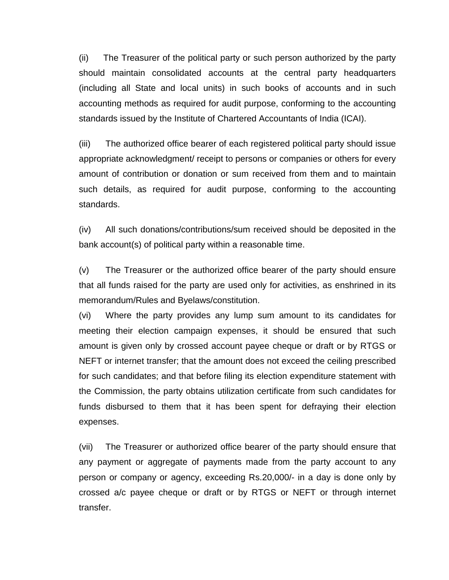(ii) The Treasurer of the political party or such person authorized by the party should maintain consolidated accounts at the central party headquarters (including all State and local units) in such books of accounts and in such accounting methods as required for audit purpose, conforming to the accounting standards issued by the Institute of Chartered Accountants of India (ICAI).

(iii) The authorized office bearer of each registered political party should issue appropriate acknowledgment/ receipt to persons or companies or others for every amount of contribution or donation or sum received from them and to maintain such details, as required for audit purpose, conforming to the accounting standards.

(iv) All such donations/contributions/sum received should be deposited in the bank account(s) of political party within a reasonable time.

(v) The Treasurer or the authorized office bearer of the party should ensure that all funds raised for the party are used only for activities, as enshrined in its memorandum/Rules and Byelaws/constitution.

(vi) Where the party provides any lump sum amount to its candidates for meeting their election campaign expenses, it should be ensured that such amount is given only by crossed account payee cheque or draft or by RTGS or NEFT or internet transfer; that the amount does not exceed the ceiling prescribed for such candidates; and that before filing its election expenditure statement with the Commission, the party obtains utilization certificate from such candidates for funds disbursed to them that it has been spent for defraying their election expenses.

(vii) The Treasurer or authorized office bearer of the party should ensure that any payment or aggregate of payments made from the party account to any person or company or agency, exceeding Rs.20,000/- in a day is done only by crossed a/c payee cheque or draft or by RTGS or NEFT or through internet transfer.